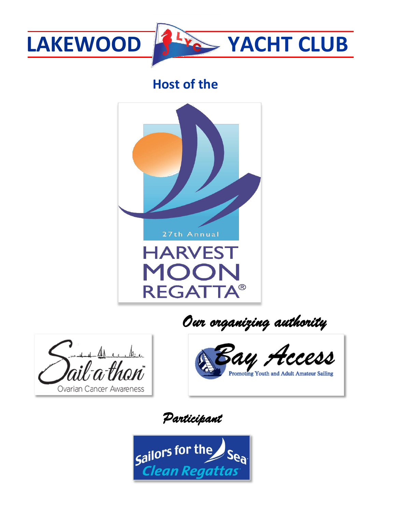

# **LAKEWOOD***f*  $\frac{1}{2}$  **CACHT** CLUB

# **Host of the**









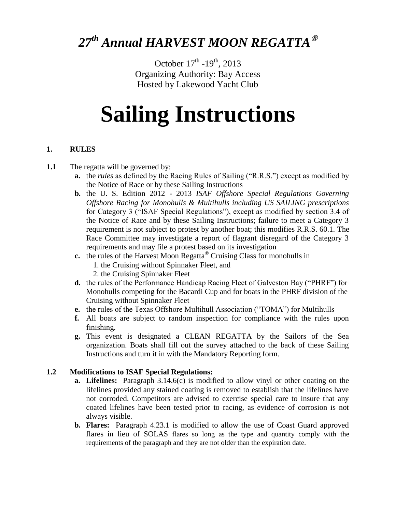# *27th Annual HARVEST MOON REGATTA***®**

October  $17^{\text{th}}$  -19<sup>th</sup>, 2013 Organizing Authority: Bay Access Hosted by Lakewood Yacht Club

# **Sailing Instructions**

#### **1. RULES**

- **1.1** The regatta will be governed by:
	- **a.** the *rules* as defined by the Racing Rules of Sailing ("R.R.S.") except as modified by the Notice of Race or by these Sailing Instructions
	- **b.** the U. S. Edition 2012 2013 *ISAF Offshore Special Regulations Governing Offshore Racing for Monohulls & Multihulls including US SAILING prescriptions*  for Category 3 ("ISAF Special Regulations"), except as modified by section 3.4 of the Notice of Race and by these Sailing Instructions; failure to meet a Category 3 requirement is not subject to protest by another boat; this modifies R.R.S. 60.1. The Race Committee may investigate a report of flagrant disregard of the Category 3 requirements and may file a protest based on its investigation
	- **c.** the rules of the Harvest Moon Regatta<sup>®</sup> Cruising Class for monohulls in
		- 1. the Cruising without Spinnaker Fleet, and
		- 2. the Cruising Spinnaker Fleet
	- **d.** the rules of the Performance Handicap Racing Fleet of Galveston Bay ("PHRF") for Monohulls competing for the Bacardi Cup and for boats in the PHRF division of the Cruising without Spinnaker Fleet
	- **e.** the rules of the Texas Offshore Multihull Association ("TOMA") for Multihulls
	- **f.** All boats are subject to random inspection for compliance with the rules upon finishing.
	- **g.** This event is designated a CLEAN REGATTA by the Sailors of the Sea organization. Boats shall fill out the survey attached to the back of these Sailing Instructions and turn it in with the Mandatory Reporting form.

#### **1.2 Modifications to ISAF Special Regulations:**

- **a. Lifelines:** Paragraph 3.14.6(c) is modified to allow vinyl or other coating on the lifelines provided any stained coating is removed to establish that the lifelines have not corroded. Competitors are advised to exercise special care to insure that any coated lifelines have been tested prior to racing, as evidence of corrosion is not always visible.
- **b. Flares:** Paragraph 4.23.1 is modified to allow the use of Coast Guard approved flares in lieu of SOLAS flares so long as the type and quantity comply with the requirements of the paragraph and they are not older than the expiration date.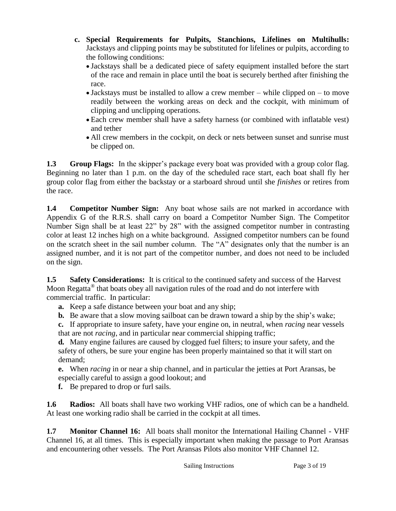- **c. Special Requirements for Pulpits, Stanchions, Lifelines on Multihulls:**  Jackstays and clipping points may be substituted for lifelines or pulpits, according to the following conditions:
	- Jackstays shall be a dedicated piece of safety equipment installed before the start of the race and remain in place until the boat is securely berthed after finishing the race.
	- $\bullet$  Jackstays must be installed to allow a crew member while clipped on to move readily between the working areas on deck and the cockpit, with minimum of clipping and unclipping operations.
	- Each crew member shall have a safety harness (or combined with inflatable vest) and tether
	- All crew members in the cockpit, on deck or nets between sunset and sunrise must be clipped on.

**1.3 Group Flags:** In the skipper's package every boat was provided with a group color flag. Beginning no later than 1 p.m. on the day of the scheduled race start, each boat shall fly her group color flag from either the backstay or a starboard shroud until she *finishes* or retires from the race.

**1.4 Competitor Number Sign:** Any boat whose sails are not marked in accordance with Appendix G of the R.R.S. shall carry on board a Competitor Number Sign. The Competitor Number Sign shall be at least 22" by 28" with the assigned competitor number in contrasting color at least 12 inches high on a white background. Assigned competitor numbers can be found on the scratch sheet in the sail number column. The "A" designates only that the number is an assigned number, and it is not part of the competitor number, and does not need to be included on the sign.

**1.5 Safety Considerations:** It is critical to the continued safety and success of the Harvest Moon Regatta<sup>®</sup> that boats obey all navigation rules of the road and do not interfere with commercial traffic. In particular:

- **a.** Keep a safe distance between your boat and any ship;
- **b.** Be aware that a slow moving sailboat can be drawn toward a ship by the ship's wake;

**c.** If appropriate to insure safety, have your engine on, in neutral, when *racing* near vessels that are not *racing*, and in particular near commercial shipping traffic;

**d.** Many engine failures are caused by clogged fuel filters; to insure your safety, and the safety of others, be sure your engine has been properly maintained so that it will start on demand;

**e.** When *racing* in or near a ship channel, and in particular the jetties at Port Aransas, be especially careful to assign a good lookout; and

**f.** Be prepared to drop or furl sails.

**1.6 Radios:** All boats shall have two working VHF radios, one of which can be a handheld. At least one working radio shall be carried in the cockpit at all times.

**1.7 Monitor Channel 16:** All boats shall monitor the International Hailing Channel - VHF Channel 16, at all times. This is especially important when making the passage to Port Aransas and encountering other vessels. The Port Aransas Pilots also monitor VHF Channel 12.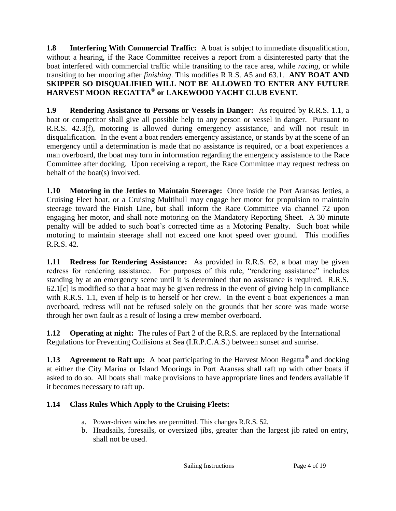**1.8 Interfering With Commercial Traffic:** A boat is subject to immediate disqualification, without a hearing, if the Race Committee receives a report from a disinterested party that the boat interfered with commercial traffic while transiting to the race area, while *racing*, or while transiting to her mooring after *finishing*. This modifies R.R.S. A5 and 63.1. **ANY BOAT AND SKIPPER SO DISQUALIFIED WILL NOT BE ALLOWED TO ENTER ANY FUTURE HARVEST MOON REGATTA® or LAKEWOOD YACHT CLUB EVENT.**

**1.9 Rendering Assistance to Persons or Vessels in Danger:** As required by R.R.S. 1.1, a boat or competitor shall give all possible help to any person or vessel in danger. Pursuant to R.R.S. 42.3(f), motoring is allowed during emergency assistance, and will not result in disqualification. In the event a boat renders emergency assistance, or stands by at the scene of an emergency until a determination is made that no assistance is required, or a boat experiences a man overboard, the boat may turn in information regarding the emergency assistance to the Race Committee after docking. Upon receiving a report, the Race Committee may request redress on behalf of the boat(s) involved.

**1.10 Motoring in the Jetties to Maintain Steerage:** Once inside the Port Aransas Jetties, a Cruising Fleet boat, or a Cruising Multihull may engage her motor for propulsion to maintain steerage toward the Finish Line, but shall inform the Race Committee via channel 72 upon engaging her motor, and shall note motoring on the Mandatory Reporting Sheet. A 30 minute penalty will be added to such boat's corrected time as a Motoring Penalty. Such boat while motoring to maintain steerage shall not exceed one knot speed over ground. This modifies R.R.S. 42.

**1.11 Redress for Rendering Assistance:** As provided in R.R.S. 62, a boat may be given redress for rendering assistance. For purposes of this rule, "rendering assistance" includes standing by at an emergency scene until it is determined that no assistance is required. R.R.S. 62.1[c] is modified so that a boat may be given redress in the event of giving help in compliance with R.R.S. 1.1, even if help is to herself or her crew. In the event a boat experiences a man overboard, redress will not be refused solely on the grounds that her score was made worse through her own fault as a result of losing a crew member overboard.

**1.12 Operating at night:** The rules of Part 2 of the R.R.S. are replaced by the International Regulations for Preventing Collisions at Sea (I.R.P.C.A.S.) between sunset and sunrise.

**1.13** Agreement to Raft up: A boat participating in the Harvest Moon Regatta<sup>®</sup> and docking at either the City Marina or Island Moorings in Port Aransas shall raft up with other boats if asked to do so. All boats shall make provisions to have appropriate lines and fenders available if it becomes necessary to raft up.

## **1.14 Class Rules Which Apply to the Cruising Fleets:**

- a. Power-driven winches are permitted. This changes R.R.S. 52.
- b. Headsails, foresails, or oversized jibs, greater than the largest jib rated on entry, shall not be used.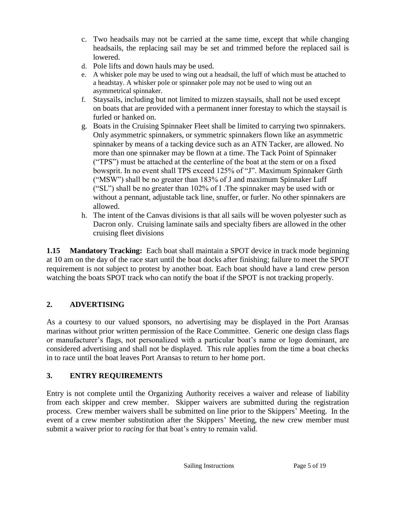- c. Two headsails may not be carried at the same time, except that while changing headsails, the replacing sail may be set and trimmed before the replaced sail is lowered.
- d. Pole lifts and down hauls may be used.
- e. A whisker pole may be used to wing out a headsail, the luff of which must be attached to a headstay. A whisker pole or spinnaker pole may not be used to wing out an asymmetrical spinnaker.
- f. Staysails, including but not limited to mizzen staysails, shall not be used except on boats that are provided with a permanent inner forestay to which the staysail is furled or hanked on.
- g. Boats in the Cruising Spinnaker Fleet shall be limited to carrying two spinnakers. Only asymmetric spinnakers, or symmetric spinnakers flown like an asymmetric spinnaker by means of a tacking device such as an ATN Tacker, are allowed. No more than one spinnaker may be flown at a time. The Tack Point of Spinnaker ("TPS") must be attached at the centerline of the boat at the stem or on a fixed bowsprit. In no event shall TPS exceed 125% of "J". Maximum Spinnaker Girth ("MSW") shall be no greater than 183% of J and maximum Spinnaker Luff ("SL") shall be no greater than 102% of I .The spinnaker may be used with or without a pennant, adjustable tack line, snuffer, or furler. No other spinnakers are allowed.
- h. The intent of the Canvas divisions is that all sails will be woven polyester such as Dacron only. Cruising laminate sails and specialty fibers are allowed in the other cruising fleet divisions

**1.15 Mandatory Tracking:** Each boat shall maintain a SPOT device in track mode beginning at 10 am on the day of the race start until the boat docks after finishing; failure to meet the SPOT requirement is not subject to protest by another boat. Each boat should have a land crew person watching the boats SPOT track who can notify the boat if the SPOT is not tracking properly.

## **2. ADVERTISING**

As a courtesy to our valued sponsors, no advertising may be displayed in the Port Aransas marinas without prior written permission of the Race Committee. Generic one design class flags or manufacturer's flags, not personalized with a particular boat's name or logo dominant, are considered advertising and shall not be displayed. This rule applies from the time a boat checks in to race until the boat leaves Port Aransas to return to her home port.

# **3. ENTRY REQUIREMENTS**

Entry is not complete until the Organizing Authority receives a waiver and release of liability from each skipper and crew member. Skipper waivers are submitted during the registration process. Crew member waivers shall be submitted on line prior to the Skippers' Meeting. In the event of a crew member substitution after the Skippers' Meeting, the new crew member must submit a waiver prior to *racing* for that boat's entry to remain valid.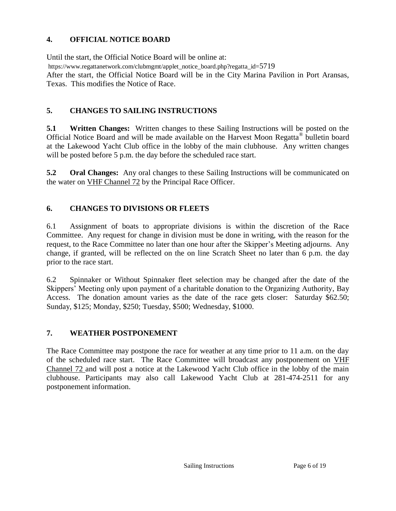#### **4. OFFICIAL NOTICE BOARD**

Until the start, the Official Notice Board will be online at: https://www.regattanetwork.com/clubmgmt/applet\_notice\_board.php?regatta\_id=5719 After the start, the Official Notice Board will be in the City Marina Pavilion in Port Aransas, Texas. This modifies the Notice of Race.

#### **5. CHANGES TO SAILING INSTRUCTIONS**

**5.1 Written Changes:** Written changes to these Sailing Instructions will be posted on the Official Notice Board and will be made available on the Harvest Moon Regatta<sup>®</sup> bulletin board at the Lakewood Yacht Club office in the lobby of the main clubhouse. Any written changes will be posted before 5 p.m. the day before the scheduled race start.

**5.2 Oral Changes:** Any oral changes to these Sailing Instructions will be communicated on the water on VHF Channel 72 by the Principal Race Officer.

#### **6. CHANGES TO DIVISIONS OR FLEETS**

6.1 Assignment of boats to appropriate divisions is within the discretion of the Race Committee. Any request for change in division must be done in writing, with the reason for the request, to the Race Committee no later than one hour after the Skipper's Meeting adjourns. Any change, if granted, will be reflected on the on line Scratch Sheet no later than 6 p.m. the day prior to the race start.

6.2 Spinnaker or Without Spinnaker fleet selection may be changed after the date of the Skippers' Meeting only upon payment of a charitable donation to the Organizing Authority, Bay Access. The donation amount varies as the date of the race gets closer: Saturday \$62.50; Sunday, \$125; Monday, \$250; Tuesday, \$500; Wednesday, \$1000.

#### **7. WEATHER POSTPONEMENT**

The Race Committee may postpone the race for weather at any time prior to 11 a.m. on the day of the scheduled race start. The Race Committee will broadcast any postponement on VHF Channel 72 and will post a notice at the Lakewood Yacht Club office in the lobby of the main clubhouse. Participants may also call Lakewood Yacht Club at 281-474-2511 for any postponement information.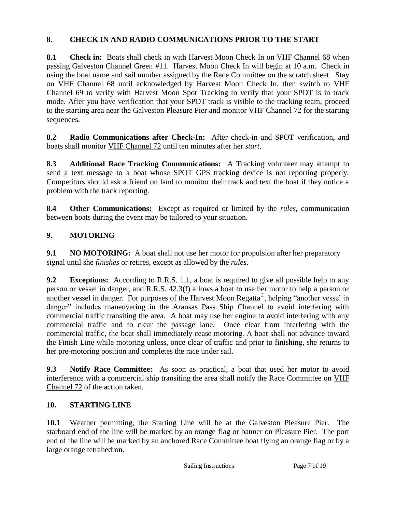#### **8. CHECK IN AND RADIO COMMUNICATIONS PRIOR TO THE START**

**8.1 Check in:** Boats shall check in with Harvest Moon Check In on VHF Channel 68 when passing Galveston Channel Green #11. Harvest Moon Check In will begin at 10 a.m. Check in using the boat name and sail number assigned by the Race Committee on the scratch sheet. Stay on VHF Channel 68 until acknowledged by Harvest Moon Check In, then switch to VHF Channel 69 to verify with Harvest Moon Spot Tracking to verify that your SPOT is in track mode. After you have verification that your SPOT track is visible to the tracking team, proceed to the starting area near the Galveston Pleasure Pier and monitor VHF Channel 72 for the starting sequences.

**8.2 Radio Communications after Check-In:** After check-in and SPOT verification, and boats shall monitor VHF Channel 72 until ten minutes after her *start*.

**8.3 Additional Race Tracking Communications:** A Tracking volunteer may attempt to send a text message to a boat whose SPOT GPS tracking device is not reporting properly. Competitors should ask a friend on land to monitor their track and text the boat if they notice a problem with the track reporting.

**8.4 Other Communications:** Except as required or limited by the *rules***,** communication between boats during the event may be tailored to your situation.

#### **9. MOTORING**

**9.1 NO MOTORING:** A boat shall not use her motor for propulsion after her preparatory signal until she *finishes* or retires, except as allowed by the *rules*.

**9.2 Exceptions:** According to R.R.S. 1.1, a boat is required to give all possible help to any person or vessel in danger, and R.R.S. 42.3(f) allows a boat to use her motor to help a person or another vessel in danger. For purposes of the Harvest Moon Regatta<sup>®</sup>, helping "another vessel in danger" includes maneuvering in the Aransas Pass Ship Channel to avoid interfering with commercial traffic transiting the area. A boat may use her engine to avoid interfering with any commercial traffic and to clear the passage lane. Once clear from interfering with the commercial traffic, the boat shall immediately cease motoring. A boat shall not advance toward the Finish Line while motoring unless, once clear of traffic and prior to finishing, she returns to her pre-motoring position and completes the race under sail.

**9.3 Notify Race Committee:** As soon as practical, a boat that used her motor to avoid interference with a commercial ship transiting the area shall notify the Race Committee on VHF Channel 72 of the action taken.

#### **10. STARTING LINE**

**10.1** Weather permitting, the Starting Line will be at the Galveston Pleasure Pier. The starboard end of the line will be marked by an orange flag or banner on Pleasure Pier. The port end of the line will be marked by an anchored Race Committee boat flying an orange flag or by a large orange tetrahedron.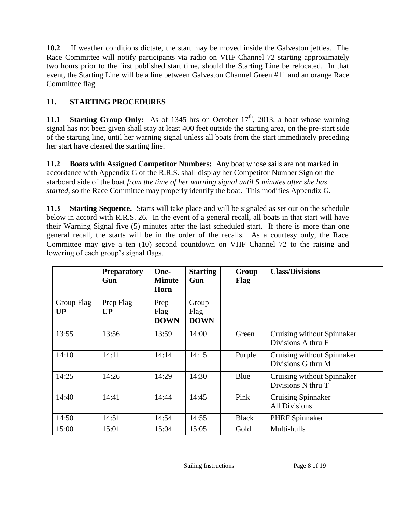**10.2** If weather conditions dictate, the start may be moved inside the Galveston jetties. The Race Committee will notify participants via radio on VHF Channel 72 starting approximately two hours prior to the first published start time, should the Starting Line be relocated. In that event, the Starting Line will be a line between Galveston Channel Green #11 and an orange Race Committee flag.

## **11. STARTING PROCEDURES**

**11.1 Starting Group Only:** As of 1345 hrs on October  $17<sup>th</sup>$ , 2013, a boat whose warning signal has not been given shall stay at least 400 feet outside the starting area, on the pre-start side of the starting line, until her warning signal unless all boats from the start immediately preceding her start have cleared the starting line.

**11.2 Boats with Assigned Competitor Numbers:** Any boat whose sails are not marked in accordance with Appendix G of the R.R.S. shall display her Competitor Number Sign on the starboard side of the boat *from the time of her warning signal until 5 minutes after she has started*, so the Race Committee may properly identify the boat. This modifies Appendix G.

**11.3 Starting Sequence.** Starts will take place and will be signaled as set out on the schedule below in accord with R.R.S. 26. In the event of a general recall, all boats in that start will have their Warning Signal five (5) minutes after the last scheduled start. If there is more than one general recall, the starts will be in the order of the recalls. As a courtesy only, the Race Committee may give a ten (10) second countdown on VHF Channel 72 to the raising and lowering of each group's signal flags.

|                         | <b>Preparatory</b><br>Gun | One-<br><b>Minute</b><br>Horn | <b>Starting</b><br>Gun       | Group<br>Flag | <b>Class/Divisions</b>                            |
|-------------------------|---------------------------|-------------------------------|------------------------------|---------------|---------------------------------------------------|
| Group Flag<br><b>UP</b> | Prep Flag<br><b>UP</b>    | Prep<br>Flag<br><b>DOWN</b>   | Group<br>Flag<br><b>DOWN</b> |               |                                                   |
| 13:55                   | 13:56                     | 13:59                         | 14:00                        | Green         | Cruising without Spinnaker<br>Divisions A thru F  |
| 14:10                   | 14:11                     | 14:14                         | 14:15                        | Purple        | Cruising without Spinnaker<br>Divisions G thru M  |
| 14:25                   | 14:26                     | 14:29                         | 14:30                        | Blue          | Cruising without Spinnaker<br>Divisions N thru T  |
| 14:40                   | 14:41                     | 14:44                         | 14:45                        | Pink          | <b>Cruising Spinnaker</b><br><b>All Divisions</b> |
| 14:50                   | 14:51                     | 14:54                         | 14:55                        | <b>Black</b>  | <b>PHRF</b> Spinnaker                             |
| 15:00                   | 15:01                     | 15:04                         | 15:05                        | Gold          | Multi-hulls                                       |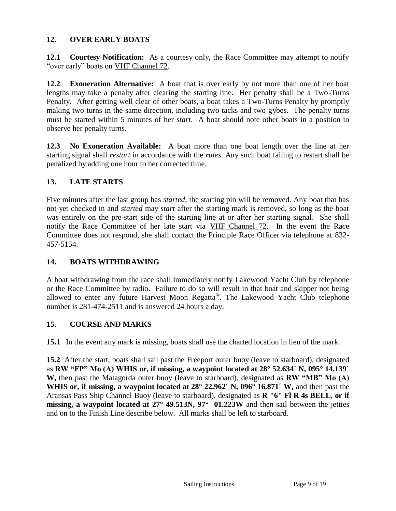#### **12. OVER EARLY BOATS**

**12.1 Courtesy Notification:** As a courtesy only, the Race Committee may attempt to notify "over early" boats on VHF Channel 72.

**12.2 Exoneration Alternative:** A boat that is over early by not more than one of her boat lengths may take a penalty after clearing the starting line. Her penalty shall be a Two-Turns Penalty. After getting well clear of other boats, a boat takes a Two-Turns Penalty by promptly making two turns in the same direction, including two tacks and two gybes. The penalty turns must be started within 5 minutes of her *start*. A boat should note other boats in a position to observe her penalty turns.

**12.3 No Exoneration Available:** A boat more than one boat length over the line at her starting signal shall *restart* in accordance with the *rules*. Any such boat failing to restart shall be penalized by adding one hour to her corrected time.

#### **13. LATE STARTS**

Five minutes after the last group has *started*, the starting pin will be removed. Any boat that has not yet checked in and *started* may *start* after the starting mark is removed, so long as the boat was entirely on the pre-start side of the starting line at or after her starting signal. She shall notify the Race Committee of her late start via VHF Channel 72. In the event the Race Committee does not respond, she shall contact the Principle Race Officer via telephone at 832- 457-5154.

#### **14. BOATS WITHDRAWING**

A boat withdrawing from the race shall immediately notify Lakewood Yacht Club by telephone or the Race Committee by radio. Failure to do so will result in that boat and skipper not being allowed to enter any future Harvest Moon Regatta® . The Lakewood Yacht Club telephone number is 281-474-2511 and is answered 24 hours a day.

#### **15. COURSE AND MARKS**

**15.1** In the event any mark is missing, boats shall use the charted location in lieu of the mark.

**15.2** After the start, boats shall sail past the Freeport outer buoy (leave to starboard), designated as **RW "FP" Mo (A) WHIS or, if missing, a waypoint located at 28° 52.634´ N, 095° 14.139´ W,** then past the Matagorda outer buoy (leave to starboard), designated as **RW "MB" Mo (A) WHIS or, if missing, a waypoint located at 28° 22.962´ N, 096° 16.871´ W,** and then past the Aransas Pass Ship Channel Buoy (leave to starboard), designated as **R "6" Fl R 4s BELL**, **or if missing, a waypoint located at 27° 49.513N, 97° 01.223W** and then sail between the jetties and on to the Finish Line describe below. All marks shall be left to starboard.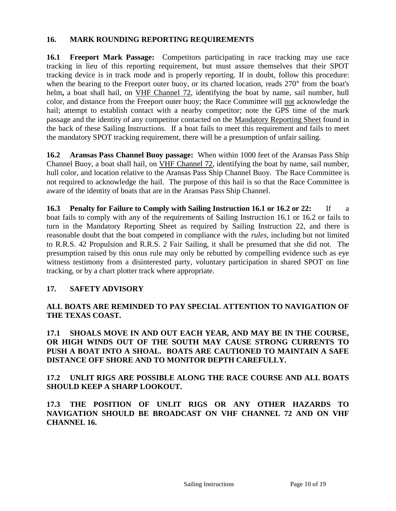#### **16. MARK ROUNDING REPORTING REQUIREMENTS**

**16.1 Freeport Mark Passage:** Competitors participating in race tracking may use race tracking in lieu of this reporting requirement, but must assure themselves that their SPOT tracking device is in track mode and is properly reporting. If in doubt, follow this procedure: when the bearing to the Freeport outer buoy, or its charted location, reads 270<sup>°</sup> from the boat's helm**,** a boat shall hail, on VHF Channel 72, identifying the boat by name, sail number, hull color, and distance from the Freeport outer buoy; the Race Committee will not acknowledge the hail; attempt to establish contact with a nearby competitor; note the GPS time of the mark passage and the identity of any competitor contacted on the Mandatory Reporting Sheet found in the back of these Sailing Instructions. If a boat fails to meet this requirement and fails to meet the mandatory SPOT tracking requirement, there will be a presumption of unfair sailing.

**16.2 Aransas Pass Channel Buoy passage:** When within 1000 feet of the Aransas Pass Ship Channel Buoy, a boat shall hail, on VHF Channel 72, identifying the boat by name, sail number, hull color, and location relative to the Aransas Pass Ship Channel Buoy. The Race Committee is not required to acknowledge the hail. The purpose of this hail is so that the Race Committee is aware of the identity of boats that are in the Aransas Pass Ship Channel.

**16.3 Penalty for Failure to Comply with Sailing Instruction 16.1 or 16.2 or 22:** If a boat fails to comply with any of the requirements of Sailing Instruction 16.1 or 16.2 or fails to turn in the Mandatory Reporting Sheet as required by Sailing Instruction 22, and there is reasonable doubt that the boat competed in compliance with the *rules*, including but not limited to R.R.S. 42 Propulsion and R.R.S. 2 Fair Sailing, it shall be presumed that she did not. The presumption raised by this onus rule may only be rebutted by compelling evidence such as eye witness testimony from a disinterested party, voluntary participation in shared SPOT on line tracking, or by a chart plotter track where appropriate.

#### **17. SAFETY ADVISORY**

#### **ALL BOATS ARE REMINDED TO PAY SPECIAL ATTENTION TO NAVIGATION OF THE TEXAS COAST.**

**17.1 SHOALS MOVE IN AND OUT EACH YEAR, AND MAY BE IN THE COURSE, OR HIGH WINDS OUT OF THE SOUTH MAY CAUSE STRONG CURRENTS TO PUSH A BOAT INTO A SHOAL. BOATS ARE CAUTIONED TO MAINTAIN A SAFE DISTANCE OFF SHORE AND TO MONITOR DEPTH CAREFULLY.**

#### **17.2 UNLIT RIGS ARE POSSIBLE ALONG THE RACE COURSE AND ALL BOATS SHOULD KEEP A SHARP LOOKOUT.**

**17.3 THE POSITION OF UNLIT RIGS OR ANY OTHER HAZARDS TO NAVIGATION SHOULD BE BROADCAST ON VHF CHANNEL 72 AND ON VHF CHANNEL 16.**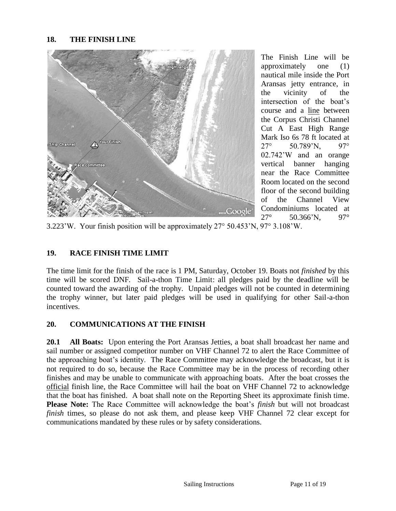#### **18. THE FINISH LINE**



The Finish Line will be approximately one (1) nautical mile inside the Port Aransas jetty entrance, in the vicinity of the intersection of the boat's course and a line between the Corpus Christi Channel Cut A East High Range Mark Iso 6s 78 ft located at 27° 50.789'N, 97° 02.742'W and an orange vertical banner hanging near the Race Committee Room located on the second floor of the second building of the Channel View Condominiums located at 27° 50.366'N, 97°

3.223'W. Your finish position will be approximately 27° 50.453'N, 97° 3.108'W.

#### **19. RACE FINISH TIME LIMIT**

The time limit for the finish of the race is 1 PM, Saturday, October 19. Boats not *finished* by this time will be scored DNF. Sail-a-thon Time Limit: all pledges paid by the deadline will be counted toward the awarding of the trophy. Unpaid pledges will not be counted in determining the trophy winner, but later paid pledges will be used in qualifying for other Sail-a-thon incentives.

#### **20. COMMUNICATIONS AT THE FINISH**

**20.1 All Boats:** Upon entering the Port Aransas Jetties, a boat shall broadcast her name and sail number or assigned competitor number on VHF Channel 72 to alert the Race Committee of the approaching boat's identity. The Race Committee may acknowledge the broadcast, but it is not required to do so, because the Race Committee may be in the process of recording other finishes and may be unable to communicate with approaching boats. After the boat crosses the official finish line, the Race Committee will hail the boat on VHF Channel 72 to acknowledge that the boat has finished. A boat shall note on the Reporting Sheet its approximate finish time. **Please Note:** The Race Committee will acknowledge the boat's *finish* but will not broadcast *finish* times, so please do not ask them, and please keep VHF Channel 72 clear except for communications mandated by these rules or by safety considerations.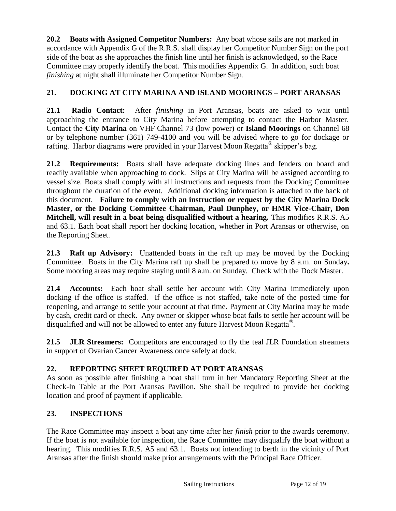**20.2 Boats with Assigned Competitor Numbers:** Any boat whose sails are not marked in accordance with Appendix G of the R.R.S. shall display her Competitor Number Sign on the port side of the boat as she approaches the finish line until her finish is acknowledged, so the Race Committee may properly identify the boat. This modifies Appendix G. In addition, such boat *finishing* at night shall illuminate her Competitor Number Sign.

### **21. DOCKING AT CITY MARINA AND ISLAND MOORINGS – PORT ARANSAS**

**21.1 Radio Contact:** After *finishing* in Port Aransas, boats are asked to wait until approaching the entrance to City Marina before attempting to contact the Harbor Master. Contact the **City Marina** on VHF Channel 73 (low power) or **Island Moorings** on Channel 68 or by telephone number (361) 749-4100 and you will be advised where to go for dockage or rafting. Harbor diagrams were provided in your Harvest Moon Regatta® skipper's bag.

**21.2 Requirements:** Boats shall have adequate docking lines and fenders on board and readily available when approaching to dock. Slips at City Marina will be assigned according to vessel size. Boats shall comply with all instructions and requests from the Docking Committee throughout the duration of the event. Additional docking information is attached to the back of this document. **Failure to comply with an instruction or request by the City Marina Dock Master, or the Docking Committee Chairman, Paul Dunphey, or HMR Vice-Chair, Don Mitchell, will result in a boat being disqualified without a hearing.** This modifies R.R.S. A5 and 63.1. Each boat shall report her docking location, whether in Port Aransas or otherwise, on the Reporting Sheet.

**21.3 Raft up Advisory:** Unattended boats in the raft up may be moved by the Docking Committee.Boats in the City Marina raft up shall be prepared to move by 8 a.m. on Sunday**.**  Some mooring areas may require staying until 8 a.m. on Sunday. Check with the Dock Master.

**21.4 Accounts:** Each boat shall settle her account with City Marina immediately upon docking if the office is staffed. If the office is not staffed, take note of the posted time for reopening, and arrange to settle your account at that time. Payment at City Marina may be made by cash, credit card or check. Any owner or skipper whose boat fails to settle her account will be disqualified and will not be allowed to enter any future Harvest Moon Regatta® .

**21.5 JLR Streamers:** Competitors are encouraged to fly the teal JLR Foundation streamers in support of Ovarian Cancer Awareness once safely at dock.

#### **22. REPORTING SHEET REQUIRED AT PORT ARANSAS**

As soon as possible after finishing a boat shall turn in her Mandatory Reporting Sheet at the Check-In Table at the Port Aransas Pavilion. She shall be required to provide her docking location and proof of payment if applicable.

#### **23. INSPECTIONS**

The Race Committee may inspect a boat any time after her *finish* prior to the awards ceremony. If the boat is not available for inspection, the Race Committee may disqualify the boat without a hearing. This modifies R.R.S. A5 and 63.1. Boats not intending to berth in the vicinity of Port Aransas after the finish should make prior arrangements with the Principal Race Officer.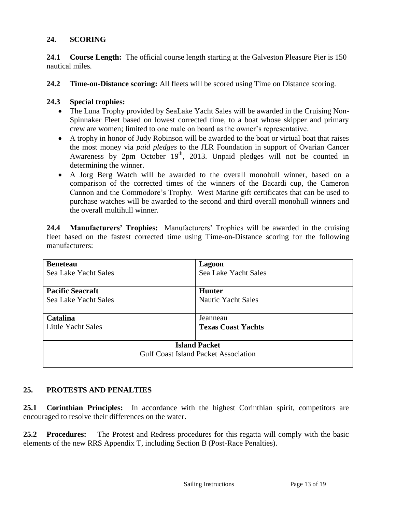#### **24. SCORING**

**24.1 Course Length:** The official course length starting at the Galveston Pleasure Pier is 150 nautical miles.

**24.2 Time-on-Distance scoring:** All fleets will be scored using Time on Distance scoring.

#### **24.3 Special trophies:**

- The Luna Trophy provided by SeaLake Yacht Sales will be awarded in the Cruising Non-Spinnaker Fleet based on lowest corrected time, to a boat whose skipper and primary crew are women; limited to one male on board as the owner's representative.
- A trophy in honor of Judy Robinson will be awarded to the boat or virtual boat that raises the most money via *paid pledges* to the JLR Foundation in support of Ovarian Cancer Awareness by  $2pm$  October  $19<sup>th</sup>$ , 2013. Unpaid pledges will not be counted in determining the winner.
- A Jorg Berg Watch will be awarded to the overall monohull winner, based on a comparison of the corrected times of the winners of the Bacardi cup, the Cameron Cannon and the Commodore's Trophy. West Marine gift certificates that can be used to purchase watches will be awarded to the second and third overall monohull winners and the overall multihull winner.

**24.4 Manufacturers' Trophies:** Manufacturers' Trophies will be awarded in the cruising fleet based on the fastest corrected time using Time-on-Distance scoring for the following manufacturers:

| <b>Beneteau</b>                             | Lagoon                    |  |  |  |  |
|---------------------------------------------|---------------------------|--|--|--|--|
| Sea Lake Yacht Sales                        | Sea Lake Yacht Sales      |  |  |  |  |
| <b>Pacific Seacraft</b>                     | <b>Hunter</b>             |  |  |  |  |
| Sea Lake Yacht Sales                        | <b>Nautic Yacht Sales</b> |  |  |  |  |
| Catalina                                    | Jeanneau                  |  |  |  |  |
| Little Yacht Sales                          | <b>Texas Coast Yachts</b> |  |  |  |  |
| <b>Island Packet</b>                        |                           |  |  |  |  |
| <b>Gulf Coast Island Packet Association</b> |                           |  |  |  |  |
|                                             |                           |  |  |  |  |

#### **25. PROTESTS AND PENALTIES**

**25.1 Corinthian Principles:** In accordance with the highest Corinthian spirit, competitors are encouraged to resolve their differences on the water.

**25.2 Procedures:** The Protest and Redress procedures for this regatta will comply with the basic elements of the new RRS Appendix T, including Section B (Post-Race Penalties).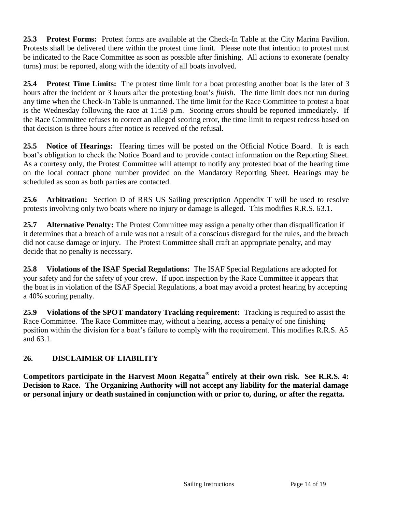**25.3 Protest Forms:** Protest forms are available at the Check-In Table at the City Marina Pavilion. Protests shall be delivered there within the protest time limit. Please note that intention to protest must be indicated to the Race Committee as soon as possible after finishing. All actions to exonerate (penalty turns) must be reported, along with the identity of all boats involved.

**25.4 Protest Time Limits:** The protest time limit for a boat protesting another boat is the later of 3 hours after the incident or 3 hours after the protesting boat's *finish*. The time limit does not run during any time when the Check-In Table is unmanned. The time limit for the Race Committee to protest a boat is the Wednesday following the race at 11:59 p.m. Scoring errors should be reported immediately. If the Race Committee refuses to correct an alleged scoring error, the time limit to request redress based on that decision is three hours after notice is received of the refusal.

**25.5 Notice of Hearings:** Hearing times will be posted on the Official Notice Board. It is each boat's obligation to check the Notice Board and to provide contact information on the Reporting Sheet. As a courtesy only, the Protest Committee will attempt to notify any protested boat of the hearing time on the local contact phone number provided on the Mandatory Reporting Sheet. Hearings may be scheduled as soon as both parties are contacted.

**25.6 Arbitration:** Section D of RRS US Sailing prescription Appendix T will be used to resolve protests involving only two boats where no injury or damage is alleged. This modifies R.R.S. 63.1.

**25.7 Alternative Penalty:** The Protest Committee may assign a penalty other than disqualification if it determines that a breach of a rule was not a result of a conscious disregard for the rules, and the breach did not cause damage or injury. The Protest Committee shall craft an appropriate penalty, and may decide that no penalty is necessary.

**25.8 Violations of the ISAF Special Regulations:** The ISAF Special Regulations are adopted for your safety and for the safety of your crew. If upon inspection by the Race Committee it appears that the boat is in violation of the ISAF Special Regulations, a boat may avoid a protest hearing by accepting a 40% scoring penalty.

**25.9 Violations of the SPOT mandatory Tracking requirement:** Tracking is required to assist the Race Committee. The Race Committee may, without a hearing, access a penalty of one finishing position within the division for a boat's failure to comply with the requirement. This modifies R.R.S. A5 and 63.1.

#### **26. DISCLAIMER OF LIABILITY**

**Competitors participate in the Harvest Moon Regatta® entirely at their own risk. See R.R.S. 4: Decision to Race. The Organizing Authority will not accept any liability for the material damage or personal injury or death sustained in conjunction with or prior to, during, or after the regatta.**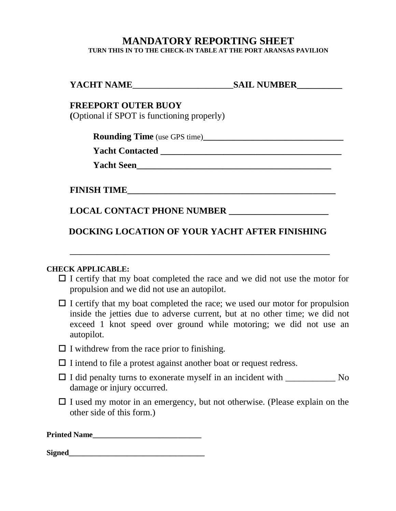# **MANDATORY REPORTING SHEET**

**TURN THIS IN TO THE CHECK-IN TABLE AT THE PORT ARANSAS PAVILION**

| YACHT NAME<br><b>SAIL NUMBER</b> |  |
|----------------------------------|--|
|                                  |  |

#### **FREEPORT OUTER BUOY**

**(**Optional if SPOT is functioning properly)

**Rounding Time** (use GPS time)**\_\_\_\_\_\_\_\_\_\_\_\_\_\_\_\_\_\_\_\_\_\_\_\_\_\_\_\_\_\_\_**

**Yacht Contacted \_\_\_\_\_\_\_\_\_\_\_\_\_\_\_\_\_\_\_\_\_\_\_\_\_\_\_\_\_\_\_\_\_\_\_\_\_\_\_\_**

**Yacht Seen\_\_\_\_\_\_\_\_\_\_\_\_\_\_\_\_\_\_\_\_\_\_\_\_\_\_\_\_\_\_\_\_\_\_\_\_\_\_\_\_\_\_\_**

**FINISH TIME** 

## **LOCAL CONTACT PHONE NUMBER \_\_\_\_\_\_\_\_\_\_\_\_\_\_\_\_\_\_\_\_\_\_**

## **DOCKING LOCATION OF YOUR YACHT AFTER FINISHING**

**\_\_\_\_\_\_\_\_\_\_\_\_\_\_\_\_\_\_\_\_\_\_\_\_\_\_\_\_\_\_\_\_\_\_\_\_\_\_\_\_\_\_\_\_\_\_\_\_\_\_\_\_\_\_\_\_\_\_\_\_\_\_\_\_\_\_\_**

#### **CHECK APPLICABLE:**

- $\Box$  I certify that my boat completed the race and we did not use the motor for propulsion and we did not use an autopilot.
- $\Box$  I certify that my boat completed the race; we used our motor for propulsion inside the jetties due to adverse current, but at no other time; we did not exceed 1 knot speed over ground while motoring; we did not use an autopilot.
- $\Box$  I withdrew from the race prior to finishing.
- $\Box$  I intend to file a protest against another boat or request redress.
- $\Box$  I did penalty turns to exonerate myself in an incident with  $\Box$  No damage or injury occurred.
- $\Box$  I used my motor in an emergency, but not otherwise. (Please explain on the other side of this form.)

| <b>Printed Name</b> |  |
|---------------------|--|
|                     |  |

| <b>Signed</b> |
|---------------|
|---------------|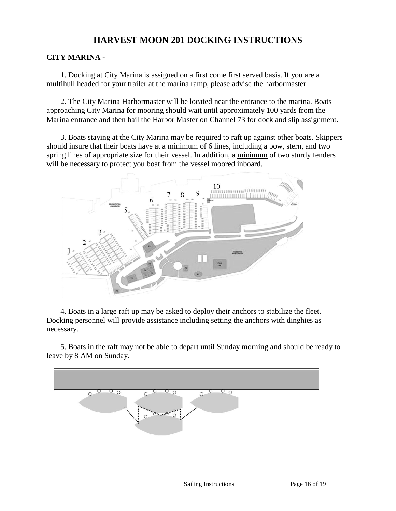# **HARVEST MOON 201 DOCKING INSTRUCTIONS**

#### **CITY MARINA -**

1. Docking at City Marina is assigned on a first come first served basis. If you are a multihull headed for your trailer at the marina ramp, please advise the harbormaster.

2. The City Marina Harbormaster will be located near the entrance to the marina. Boats approaching City Marina for mooring should wait until approximately 100 yards from the Marina entrance and then hail the Harbor Master on Channel 73 for dock and slip assignment.

3. Boats staying at the City Marina may be required to raft up against other boats. Skippers should insure that their boats have at a minimum of 6 lines, including a bow, stern, and two spring lines of appropriate size for their vessel. In addition, a minimum of two sturdy fenders will be necessary to protect you boat from the vessel moored inboard.



4. Boats in a large raft up may be asked to deploy their anchors to stabilize the fleet. Docking personnel will provide assistance including setting the anchors with dinghies as necessary.

5. Boats in the raft may not be able to depart until Sunday morning and should be ready to leave by 8 AM on Sunday.

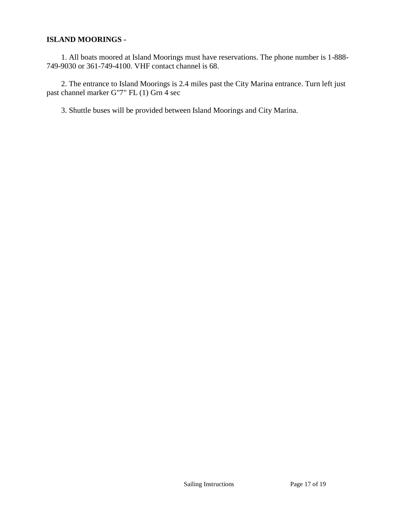#### **ISLAND MOORINGS -**

1. All boats moored at Island Moorings must have reservations. The phone number is 1-888- 749-9030 or 361-749-4100. VHF contact channel is 68.

2. The entrance to Island Moorings is 2.4 miles past the City Marina entrance. Turn left just past channel marker G"7" FL (1) Grn 4 sec

3. Shuttle buses will be provided between Island Moorings and City Marina.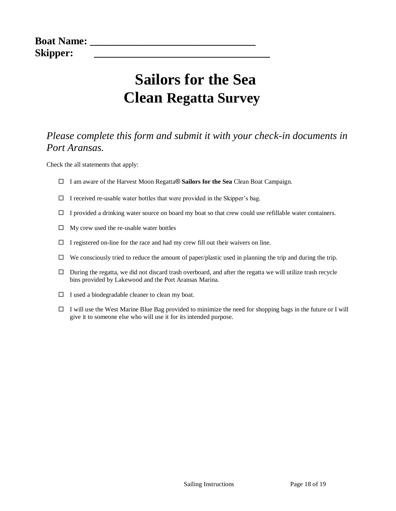# **Sailors for the Sea Clean Regatta Survey**

# *Please complete this form and submit it with your check-in documents in Port Aransas.*

Check the all statements that apply:

- I am aware of the Harvest Moon Regatta® **Sailors for the Sea** Clean Boat Campaign.
- $\Box$  I received re-usable water bottles that were provided in the Skipper's bag.
- $\Box$  I provided a drinking water source on board my boat so that crew could use refillable water containers.
- $\Box$  My crew used the re-usable water bottles
- $\Box$  I registered on-line for the race and had my crew fill out their waivers on line.
- $\Box$  We consciously tried to reduce the amount of paper/plastic used in planning the trip and during the trip.
- $\Box$  During the regatta, we did not discard trash overboard, and after the regatta we will utilize trash recycle bins provided by Lakewood and the Port Aransas Marina.
- $\Box$  I used a biodegradable cleaner to clean my boat.
- $\Box$  I will use the West Marine Blue Bag provided to minimize the need for shopping bags in the future or I will give it to someone else who will use it for its intended purpose.